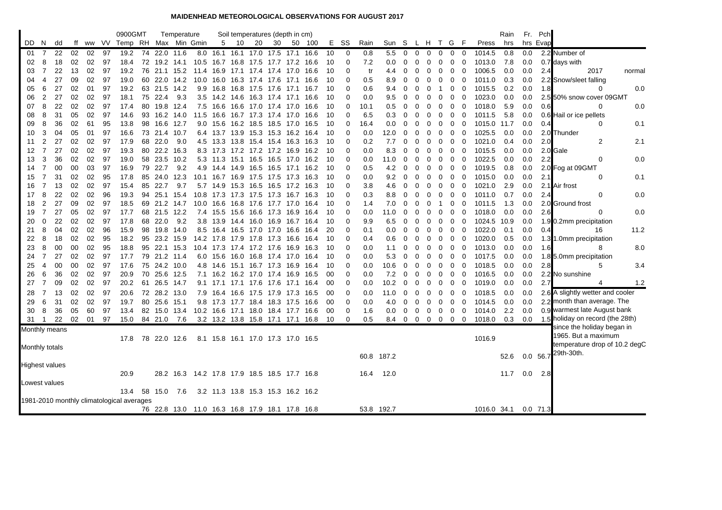## **MAIDENHEAD METEOROLOGICAL OBSERVATIONS FOR AUGUST 2017**

|                |                                                                                |          |          |          |          | 0900GMT                    |    |                      | Temperature |                                                 |                                                |           |    | Soil temperatures (depth in cm) |      |              |          |                      |            |             |                |               |                          |             |                            |                |                      | Rain       |            | Fr. Pch  |                                      |        |
|----------------|--------------------------------------------------------------------------------|----------|----------|----------|----------|----------------------------|----|----------------------|-------------|-------------------------------------------------|------------------------------------------------|-----------|----|---------------------------------|------|--------------|----------|----------------------|------------|-------------|----------------|---------------|--------------------------|-------------|----------------------------|----------------|----------------------|------------|------------|----------|--------------------------------------|--------|
| DD.            | N.                                                                             | dd       | ff       |          |          | ww VV Temp RH Max Min Gmin |    |                      |             |                                                 | 5                                              | 10        | 20 | 30                              | 50   | 100          | Е.       | - SS                 | Rain       | Sun S       |                | L H           |                          | T G F       |                            |                | Press                | hrs        |            | hrs Evap |                                      |        |
| 01             | 7                                                                              | 22       | 02       | 02       | 97       | 19.2                       |    | 74 22.0 11.6         |             |                                                 | 8.0 16.1 16.1 17.0 17.5 17.1 16.6              |           |    |                                 |      |              | 10       | 0                    | 0.8        | 5.5         | $\mathbf 0$    | $\mathbf 0$   | $\mathbf{0}$             | $\mathbf 0$ | $\mathbf 0$                | $\mathbf 0$    | 1014.5               | 0.8        | 0.0        |          | 2.2 Number of                        |        |
| 02             | 8                                                                              | 18       | 02       | 02       | 97       | 18.4                       | 72 | 19.2 14.1            |             |                                                 | 10.5 16.7 16.8 17.5                            |           |    | 17.7 17.2                       |      | 16.6         | 10       | $\mathbf 0$          | 7.2        | 0.0         | 0              | 0             | 0                        | 0           | 0                          | 0              | 1013.0               | 7.8        | 0.0        |          | 0.7 days with                        |        |
| 03             | $\overline{7}$                                                                 | 22       | 13       | 02       | 97       | 19.2                       | 76 | 21.1 15.2            |             |                                                 | 11.4 16.9 17.1 17.4 17.4 17.0 16.6             |           |    |                                 |      |              | 10       | $\Omega$             | tr         | 4.4         | 0              | $\Omega$      | 0                        | 0           | $\mathbf 0$                | $\overline{0}$ | 1006.5               | 0.0        | 0.0        | 2.4      | 2017                                 | normal |
| 04             | 4                                                                              | 27       | 09       | 02       | 97       | 19.0                       | 60 | 22.0 14.2            |             |                                                 | 10.0 16.0 16.3 17.4 17.6 17.1 16.6             |           |    |                                 |      |              | 10       | $\Omega$             | 0.5        | 8.9         | 0              | $\Omega$      | 0                        | 0           | 0                          | $\mathbf 0$    | 1011.0               | 0.3        | 0.0        |          | 2.2 Snow/sleet falling               |        |
| 05             | 6                                                                              | 27       | 02       | 01       | 97       | 19.2                       | 63 | 21.5                 | 14.2        | 9.9                                             | 16.8 16.8 17.5                                 |           |    | 17.6                            | 17.1 | 16.7         | 10       | $\Omega$             | 0.6        | 9.4         | 0              | 0             | 0                        | -1          | 0                          | 0              | 1015.5               | 0.2        | 0.0        | 1.8      | $\Omega$                             | 0.0    |
| 06             | $\overline{2}$                                                                 | 27       | 02       | 02       | 97       | 18.1                       |    | 75 22.4              | 9.3         |                                                 | 3.5 14.2 14.6 16.3 17.4 17.1                   |           |    |                                 |      | 16.6         | 10       | $\Omega$             | 0.0        | 9.5         | 0              | 0             | 0                        | 0           | 0                          | 0              | 1023.0               | 0.0        | 0.0        |          | 2.5 50% snow cover 09GMT             |        |
| 07             | 8                                                                              | 22       | 02       | 02       | 97       | 17.4                       |    | 80 19.8 12.4         |             |                                                 | 7.5 16.6 16.6 17.0 17.4 17.0 16.6              |           |    |                                 |      |              | 10       | $\Omega$             | 10.1       | 0.5         | 0              | 0             | 0                        | 0           | 0                          | 0              | 1018.0               | 5.9        | 0.0        | 0.6      | $\Omega$                             | 0.0    |
| 08             | 8                                                                              | 31       | 05       | 02       | 97       | 14.6                       | 93 | 16.2 14.0            |             | 11.5                                            | 16.6 16.7 17.3 17.4 17.0                       |           |    |                                 |      | 16.6         | 10       | $\Omega$             | 6.5        | 0.3         | 0              | $\Omega$      | 0                        | 0           | 0                          | 0              | 1011.5               | 5.8        | 0.0        |          | 0.6 Hail or ice pellets              |        |
| 09             | 8                                                                              | 36       | 02       | 61       | 95       | 13.8                       | 98 | 16.6 12.7            |             |                                                 | 9.0 15.6 16.2 18.5 18.5 17.0                   |           |    |                                 |      | 16.5         | 10       | $\mathbf 0$          | 16.4       | 0.0         | 0              | $\Omega$      | 0                        | 0           | 0                          | 0              | 1015.0 11.7          |            | 0.0        | 0.4      | $\Omega$                             | 0.1    |
| 10             | 3                                                                              | 04       | 05       | 01       | 97       | 16.6                       |    | 73 21.4 10.7         |             |                                                 | 6.4 13.7 13.9 15.3 15.3 16.2 16.4              |           |    |                                 |      |              | 10       | $\Omega$             | 0.0        | 12.0        | 0              | $\Omega$      | $\Omega$                 | 0           | $\mathbf 0$                | 0              | 1025.5               | 0.0        | 0.0        |          | 2.0 Thunder                          |        |
| 11             | 2                                                                              | 27       | 02       | 02       | 97       | 17.9                       | 68 | 22.0                 | 9.0         |                                                 | 4.5 13.3 13.8 15.4 15.4 16.3 16.3              |           |    |                                 |      |              | 10       | 0                    | 0.2        | 7.7         | 0              | 0             | 0                        | 0           | 0                          | 0              | 1021.0               | 0.4        | 0.0        | 2.0      | 2                                    | 2.1    |
| 12             | $\overline{7}$                                                                 | 27       | 02       | 02       | 97       | 19.3                       | 80 | 22.2                 | 16.3        |                                                 | 8.3 17.3 17.2 17.2 17.2 16.9                   |           |    |                                 |      | 16.2         | 10       | $\Omega$             | 0.0        | 8.3         | 0              | 0             | 0                        | 0           | 0                          | 0              | 1015.5               | 0.0        | 0.0        |          | 2.0 Gale                             |        |
| 13             | 3                                                                              | 36       | 02       | 02       | 97       | 19.0                       |    | 58 23.5              | 10.2        |                                                 | 5.3 11.3 15.1 16.5 16.5 17.0 16.2              |           |    |                                 |      |              | 10       | $\Omega$             | 0.0        | 11.0        | 0              | 0             | 0                        | 0           | $\mathbf 0$                | 0              | 1022.5               | 0.0        | 0.0        | 2.2      | 0                                    | 0.0    |
| 14             | $\overline{7}$                                                                 | 00       | 00       | 03       | 97       | 16.9                       | 79 | 22.7                 | 9.2         |                                                 | 4.9 14.4 14.9 16.5 16.5 17.1 16.2              |           |    |                                 |      |              | 10       | $\Omega$<br>$\Omega$ | 0.5        | 4.2         | 0              | 0             | 0                        | 0           | 0                          | 0              | 1019.5               | 0.8        | 0.0<br>0.0 |          | 2.0 Fog at 09GMT<br>$\Omega$         |        |
| 15             | $\overline{7}$<br>$\overline{7}$                                               | 31       | 02       | 02<br>02 | 95       | 17.8                       | 85 | 24.0<br>22.7         | 12.3        | 10.1                                            | 16.7                                           | 16.9 17.5 |    | 17.5 17.3                       |      | 16.3         | 10       | $\Omega$             | 0.0        | 9.2         | 0              | $\Omega$      | 0                        | 0           | 0                          | 0              | 1015.0               | 0.0        |            | 2.1      |                                      | 0.1    |
| 16<br>17       | 8                                                                              | 13<br>22 | 02<br>02 | 02       | 97<br>96 | 15.4                       | 85 | 25.1 15.4            | 9.7         |                                                 | 5.7 14.9<br>10.8 17.3 17.3 17.5 17.3 16.7 16.3 | 15.3 16.5 |    | 16.5                            | 17.2 | 16.3         | 10       | $\Omega$             | 3.8<br>0.3 | 4.6         | 0              | $\Omega$<br>0 | 0                        | 0<br>0      | $\mathbf 0$<br>$\mathbf 0$ | 0              | 1021.0<br>1011.0     | 2.9<br>0.7 | 0.0<br>0.0 |          | 2.1 Air frost<br>$\Omega$            | 0.0    |
|                | 2                                                                              | 27       |          | 02       |          | 19.3                       | 94 |                      |             |                                                 |                                                |           |    |                                 |      |              | 10       | 0                    |            | 8.8         | 0<br>0         | 0             | 0                        |             |                            | 0              |                      | 1.3        |            | 2.4      |                                      |        |
| 18<br>19       | $\overline{7}$                                                                 | 27       | 09<br>05 | 02       | 97<br>97 | 18.5<br>17.7               | 68 | 69 21.2 14.7<br>21.5 | 12.2        |                                                 | 10.0 16.6 16.8 17.6 17.7 17.0<br>7.4 15.5 15.6 |           |    | 16.6 17.3                       | 16.9 | 16.4<br>16.4 | 10<br>10 | $\Omega$             | 1.4<br>0.0 | 7.0<br>11.0 | 0              | 0             | 0<br>$\Omega$            | -1<br>0     | 0<br>0                     | 0<br>0         | 1011.5<br>1018.0     | 0.0        | 0.0<br>0.0 | 2.6      | 2.0 Ground frost<br>$\Omega$         | 0.0    |
| 20             | 0                                                                              | 22       | 02       | 02       | 97       | 17.8                       |    | 68 22.0              | 9.2         |                                                 | 3.8 13.9 14.4 16.0 16.9 16.7 16.4              |           |    |                                 |      |              | 10       | $\Omega$             | 9.9        | 6.5         | 0              | 0             | 0                        | 0           | $\mathbf 0$                | 0              | 1024.5 10.9          |            | 0.0        |          | 1.9 0.2mm precipitation              |        |
| 21             | 8                                                                              | 04       | 02       | 02       | 96       | 15.9                       | 98 | 19.8 14.0            |             |                                                 | 8.5 16.4 16.5 17.0 17.0 16.6                   |           |    |                                 |      | 16.4         | 20       | $\Omega$             | 0.1        | 0.0         | 0              | 0             | 0                        | 0           | 0                          | 0              | 1022.0               | 0.1        | 0.0        | 0.4      | 16                                   | 11.2   |
| 22             | 8                                                                              | 18       | 02       | 02       | 95       | 18.2                       | 95 | 23.2 15.9            |             |                                                 | 14.2 17.8 17.9 17.8 17.3 16.6                  |           |    |                                 |      | 16.4         | 10       | $\Omega$             | 0.4        | 0.6         | 0              | $\Omega$      | 0                        | 0           | $\overline{0}$             | 0              | 1020.0               | 0.5        | 0.0        |          | 1.3 1.0mm precipitation              |        |
| 23             | 8                                                                              | 00       | 00       | 02       | 95       | 18.8                       | 95 | 22.1 15.3            |             |                                                 | 10.4 17.3 17.4 17.2 17.6                       |           |    |                                 | 16.9 | 16.3         | 10       | $\mathbf 0$          | 0.0        | 1.1         | 0              | 0             | 0                        | 0           | 0                          | 0              | 1013.0               | 0.0        | 0.0        | 1.6      | 8                                    | 8.0    |
| 24             | 7                                                                              | 27       | 02       | 02       | 97       | 17.7                       |    | 79 21.2 11.4         |             |                                                 | 6.0 15.6 16.0 16.8 17.4 17.0 16.4              |           |    |                                 |      |              | 10       | $\Omega$             | 0.0        | 5.3         | 0              | 0             | 0                        | 0           | 0                          | 0              | 1017.5               | 0.0        | 0.0        |          | 1.8 5.0mm precipitation              |        |
| 25             | $\overline{4}$                                                                 | 00       | 00       | 02       | 97       | 17.6                       |    | 75 24.2 10.0         |             |                                                 | 4.8 14.6 15.1 16.7 17.3 16.9                   |           |    |                                 |      | -16.4        | 10       | 0                    | 0.0        | 10.6        | 0              | 0             | 0                        | 0           | 0                          | 0              | 1018.5               | 0.0        | 0.0        | 2.8      | 5                                    | 3.4    |
| 26             | 6                                                                              | 36       | 02       | 02       | 97       | 20.9                       | 70 | 25.6 12.5            |             |                                                 | 7.1 16.2 16.2 17.0 17.4 16.9                   |           |    |                                 |      | 16.5         | 00       | $\Omega$             | 0.0        | 7.2         | 0              | 0             | 0                        | 0           | 0                          | 0              | 1016.5               | 0.0        | 0.0        |          | 2.2 No sunshine                      |        |
| 27             | $\overline{7}$                                                                 | 09       | 02       | 02       | 97       | 20.2                       |    | 61 26.5 14.7         |             |                                                 | 9.1 17.1 17.1 17.6 17.6 17.1 16.4              |           |    |                                 |      |              | 00       | $\Omega$             | 0.0        | 10.2        | 0              | 0             | 0                        | 0           | 0                          | $\mathbf 0$    | 1019.0               | 0.0        | 0.0        | 2.7      | 4                                    | 1.2    |
| 28             | $\overline{7}$                                                                 | 13       | 02       | 02       | 97       | 20.6                       |    | 72 28.2 13.0         |             |                                                 | 7.9 16.4 16.6 17.5 17.9 17.3 16.5              |           |    |                                 |      |              | 00       | $\Omega$             | 0.0        | 11.0        | 0              | $\Omega$      | $\Omega$                 | $\mathbf 0$ | 0                          | 0              | 1018.5               | 0.0        | 0.0        |          | 2.6 A slightly wetter and cooler     |        |
| 29             | 6                                                                              | 31       | 02       | 02       | 97       | 19.7                       |    | 80 25.6 15.1         |             |                                                 | 9.8 17.3 17.7 18.4 18.3 17.5 16.6              |           |    |                                 |      |              | 00       | $\mathbf 0$          | 0.0        | 4.0         | 0              | $\mathbf 0$   | 0                        | 0           | 0                          | $\mathbf 0$    | 1014.5               | 0.0        | 0.0        |          | 2.2 month than average. The          |        |
| 30             | 8                                                                              | 36       | 05       | 60       | 97       | 13.4                       |    | 82 15.0 13.4         |             |                                                 | 10.2 16.6 17.1 18.0 18.4 17.7 16.6             |           |    |                                 |      |              | 00       | 0                    | 1.6        | 0.0         | $\overline{0}$ | 0             | 0                        | 0           | $\overline{0}$             | $\overline{0}$ | 1014.0               | 2.2        | 0.0        |          | 0.9 warmest late August bank         |        |
| 31             | $\mathbf{1}$                                                                   | 22       | 02       | 01       | 97       | 15.0                       |    | 84 21.0              | 7.6         |                                                 | 3.2 13.2 13.8 15.8 17.1 17.1 16.8              |           |    |                                 |      |              | - 10     | 0                    | 0.5        | 8.4 0 0     |                |               | $0\quad 0\quad 0\quad 0$ |             |                            |                | 1018.0               | 0.3        |            |          | 0.0 1.5 holiday on record (the 28th) |        |
| Monthly means  |                                                                                |          |          |          |          |                            |    |                      |             |                                                 |                                                |           |    |                                 |      |              |          |                      |            |             |                |               |                          |             |                            |                |                      |            |            |          | since the holiday began in           |        |
|                |                                                                                |          |          |          |          | 17.8                       |    | 78 22.0 12.6         |             |                                                 | 8.1 15.8 16.1 17.0 17.3 17.0 16.5              |           |    |                                 |      |              |          |                      |            |             |                |               |                          |             |                            |                | 1016.9               |            |            |          | 1965. But a maximum                  |        |
| Monthly totals |                                                                                |          |          |          |          |                            |    |                      |             |                                                 |                                                |           |    |                                 |      |              |          |                      |            |             |                |               |                          |             |                            |                |                      |            |            |          | temperature drop of 10.2 degC        |        |
|                |                                                                                |          |          |          |          |                            |    |                      |             |                                                 |                                                |           |    |                                 |      |              |          |                      |            | 60.8 187.2  |                |               |                          |             |                            |                |                      | 52.6       |            |          | 0.0 56.7 29th-30th.                  |        |
| Highest values |                                                                                |          |          |          |          |                            |    |                      |             |                                                 |                                                |           |    |                                 |      |              |          |                      |            |             |                |               |                          |             |                            |                |                      |            |            |          |                                      |        |
|                |                                                                                |          |          |          |          | 20.9                       |    |                      |             | 28.2 16.3 14.2 17.8 17.9 18.5 18.5 17.7 16.8    |                                                |           |    |                                 |      |              |          |                      | 16.4       | 12.0        |                |               |                          |             |                            |                |                      | 11.7       | 0.0        | 2.8      |                                      |        |
| Lowest values  |                                                                                |          |          |          |          |                            |    |                      |             |                                                 |                                                |           |    |                                 |      |              |          |                      |            |             |                |               |                          |             |                            |                |                      |            |            |          |                                      |        |
|                |                                                                                |          |          |          |          | 13.4                       |    | 58 15.0 7.6          |             |                                                 |                                                |           |    |                                 |      |              |          |                      |            |             |                |               |                          |             |                            |                |                      |            |            |          |                                      |        |
|                | 3.2 11.3 13.8 15.3 15.3 16.2 16.2<br>1981-2010 monthly climatological averages |          |          |          |          |                            |    |                      |             |                                                 |                                                |           |    |                                 |      |              |          |                      |            |             |                |               |                          |             |                            |                |                      |            |            |          |                                      |        |
|                |                                                                                |          |          |          |          |                            |    |                      |             | 76 22.8 13.0 11.0 16.3 16.8 17.9 18.1 17.8 16.8 |                                                |           |    |                                 |      |              |          |                      |            | 53.8 192.7  |                |               |                          |             |                            |                | 1016.0 34.1 0.0 71.3 |            |            |          |                                      |        |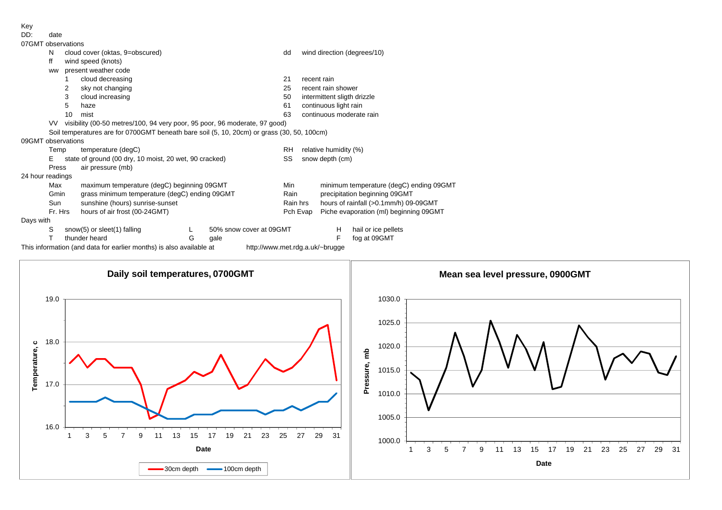Key

| DD: |      |
|-----|------|
|     | date |
|     |      |

| 07GMT observations |         |                                                                                            |   |                                                                                                        |                       |                                                    |                                       |                             |  |  |  |  |  |  |  |
|--------------------|---------|--------------------------------------------------------------------------------------------|---|--------------------------------------------------------------------------------------------------------|-----------------------|----------------------------------------------------|---------------------------------------|-----------------------------|--|--|--|--|--|--|--|
| N                  |         | cloud cover (oktas, 9=obscured)                                                            |   |                                                                                                        | dd                    |                                                    |                                       | wind direction (degrees/10) |  |  |  |  |  |  |  |
| ff                 |         | wind speed (knots)                                                                         |   |                                                                                                        |                       |                                                    |                                       |                             |  |  |  |  |  |  |  |
| <b>WW</b>          |         | present weather code                                                                       |   |                                                                                                        |                       |                                                    |                                       |                             |  |  |  |  |  |  |  |
|                    |         | cloud decreasing                                                                           |   |                                                                                                        | 21                    |                                                    | recent rain                           |                             |  |  |  |  |  |  |  |
|                    | 2       | sky not changing                                                                           |   |                                                                                                        | 25                    |                                                    | recent rain shower                    |                             |  |  |  |  |  |  |  |
|                    | 3       | cloud increasing                                                                           |   |                                                                                                        | 50                    | intermittent sligth drizzle                        |                                       |                             |  |  |  |  |  |  |  |
|                    | 5       | haze                                                                                       |   |                                                                                                        | 61                    |                                                    | continuous light rain                 |                             |  |  |  |  |  |  |  |
|                    | 10      | mist                                                                                       |   |                                                                                                        | 63                    |                                                    | continuous moderate rain              |                             |  |  |  |  |  |  |  |
| VV                 |         | visibility (00-50 metres/100, 94 very poor, 95 poor, 96 moderate, 97 good)                 |   |                                                                                                        |                       |                                                    |                                       |                             |  |  |  |  |  |  |  |
|                    |         | Soil temperatures are for 0700GMT beneath bare soil (5, 10, 20cm) or grass (30, 50, 100cm) |   |                                                                                                        |                       |                                                    |                                       |                             |  |  |  |  |  |  |  |
| 09GMT observations |         |                                                                                            |   |                                                                                                        |                       |                                                    |                                       |                             |  |  |  |  |  |  |  |
|                    | Temp    | temperature (degC)                                                                         |   | <b>RH</b>                                                                                              | relative humidity (%) |                                                    |                                       |                             |  |  |  |  |  |  |  |
| Е                  |         | state of ground (00 dry, 10 moist, 20 wet, 90 cracked)                                     |   |                                                                                                        | SS                    | snow depth (cm)                                    |                                       |                             |  |  |  |  |  |  |  |
|                    | Press   | air pressure (mb)                                                                          |   |                                                                                                        |                       |                                                    |                                       |                             |  |  |  |  |  |  |  |
| 24 hour readings   |         |                                                                                            |   |                                                                                                        |                       |                                                    |                                       |                             |  |  |  |  |  |  |  |
|                    | Max     | maximum temperature (degC) beginning 09GMT                                                 |   |                                                                                                        | Min                   | minimum temperature (degC) ending 09GMT            |                                       |                             |  |  |  |  |  |  |  |
|                    | Gmin    | grass minimum temperature (degC) ending 09GMT                                              |   |                                                                                                        | Rain                  |                                                    | precipitation beginning 09GMT         |                             |  |  |  |  |  |  |  |
|                    | Sun     | sunshine (hours) sunrise-sunset                                                            |   |                                                                                                        | Rain hrs              |                                                    | hours of rainfall (>0.1mm/h) 09-09GMT |                             |  |  |  |  |  |  |  |
|                    | Fr. Hrs | hours of air frost (00-24GMT)                                                              |   |                                                                                                        |                       | Piche evaporation (ml) beginning 09GMT<br>Pch Evap |                                       |                             |  |  |  |  |  |  |  |
| Days with          |         |                                                                                            |   |                                                                                                        |                       |                                                    |                                       |                             |  |  |  |  |  |  |  |
| S                  |         | snow(5) or sleet(1) falling                                                                |   | 50% snow cover at 09GMT                                                                                |                       |                                                    | H                                     | hail or ice pellets         |  |  |  |  |  |  |  |
|                    |         | thunder heard                                                                              | G | gale                                                                                                   |                       |                                                    | F                                     | fog at 09GMT                |  |  |  |  |  |  |  |
|                    |         |                                                                                            |   | This information (and data for earlier months) is also available at<br>http://www.met.rdg.a.uk/~brugge |                       |                                                    |                                       |                             |  |  |  |  |  |  |  |